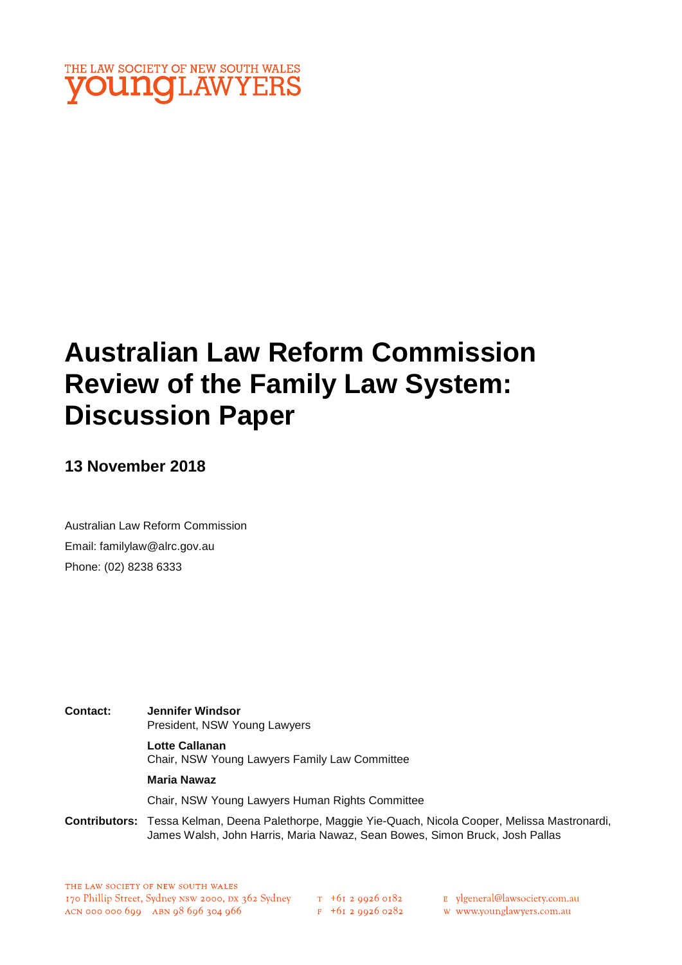

# **Australian Law Reform Commission Review of the Family Law System: Discussion Paper**

**13 November 2018** 

Australian Law Reform Commission Email: familylaw@alrc.gov.au Phone: (02) 8238 6333

**Contact: Jennifer Windsor**  President, NSW Young Lawyers **Lotte Callanan** Chair, NSW Young Lawyers Family Law Committee **Maria Nawaz**

Chair, NSW Young Lawyers Human Rights Committee

**Contributors:** Tessa Kelman, Deena Palethorpe, Maggie Yie-Quach, Nicola Cooper, Melissa Mastronardi, James Walsh, John Harris, Maria Nawaz, Sean Bowes, Simon Bruck, Josh Pallas

 $F + 6I$  2 9926 0282

E vlgeneral@lawsociety.com.au

w www.younglawyers.com.au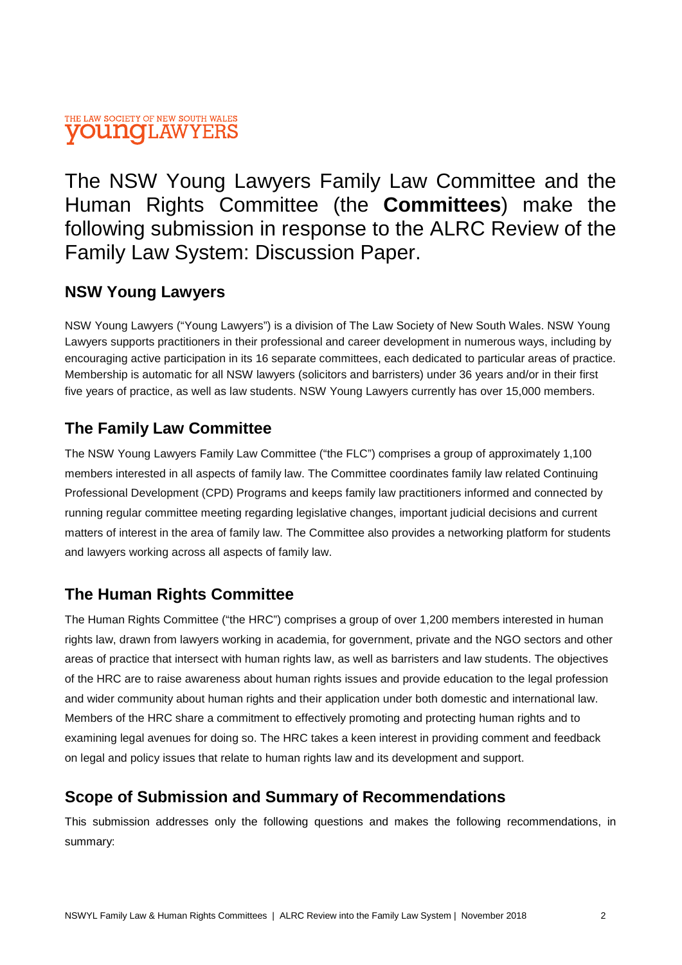# THE LAW SOCIETY OF NEW SOUTH WALES **OUNOI.AWYERS**

The NSW Young Lawyers Family Law Committee and the Human Rights Committee (the **Committees**) make the following submission in response to the ALRC Review of the Family Law System: Discussion Paper.

# **NSW Young Lawyers**

NSW Young Lawyers ("Young Lawyers") is a division of The Law Society of New South Wales. NSW Young Lawyers supports practitioners in their professional and career development in numerous ways, including by encouraging active participation in its 16 separate committees, each dedicated to particular areas of practice. Membership is automatic for all NSW lawyers (solicitors and barristers) under 36 years and/or in their first five years of practice, as well as law students. NSW Young Lawyers currently has over 15,000 members.

# **The Family Law Committee**

The NSW Young Lawyers Family Law Committee ("the FLC") comprises a group of approximately 1,100 members interested in all aspects of family law. The Committee coordinates family law related Continuing Professional Development (CPD) Programs and keeps family law practitioners informed and connected by running regular committee meeting regarding legislative changes, important judicial decisions and current matters of interest in the area of family law. The Committee also provides a networking platform for students and lawyers working across all aspects of family law.

# **The Human Rights Committee**

The Human Rights Committee ("the HRC") comprises a group of over 1,200 members interested in human rights law, drawn from lawyers working in academia, for government, private and the NGO sectors and other areas of practice that intersect with human rights law, as well as barristers and law students. The objectives of the HRC are to raise awareness about human rights issues and provide education to the legal profession and wider community about human rights and their application under both domestic and international law. Members of the HRC share a commitment to effectively promoting and protecting human rights and to examining legal avenues for doing so. The HRC takes a keen interest in providing comment and feedback on legal and policy issues that relate to human rights law and its development and support.

# **Scope of Submission and Summary of Recommendations**

This submission addresses only the following questions and makes the following recommendations, in summary: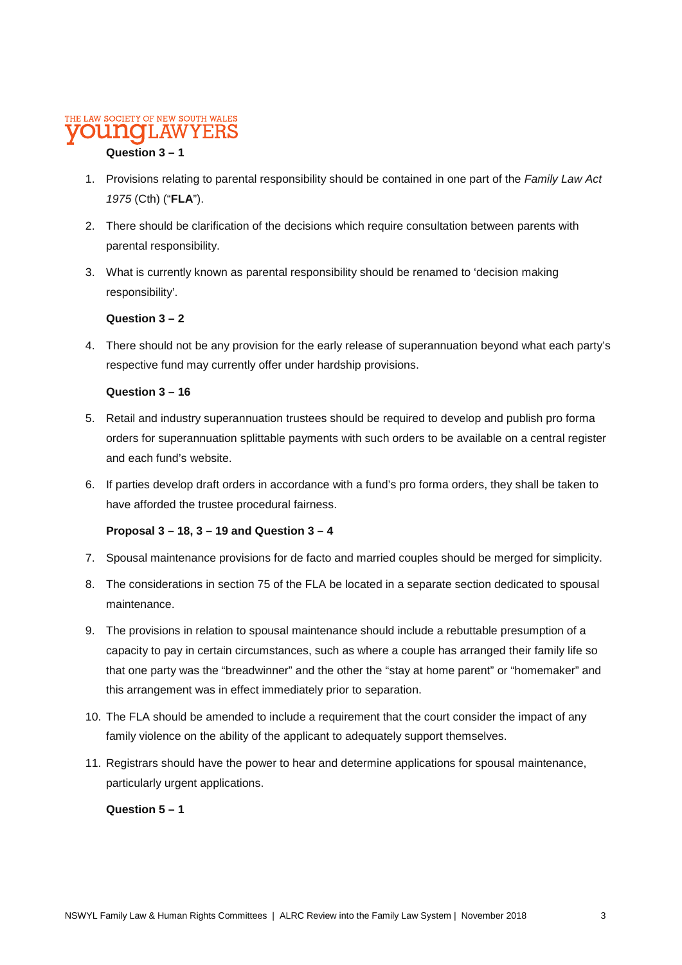#### THE LAW SOCIETY OF NEW SOUTH WALES Y EI

## **Question 3 – 1**

- 1. Provisions relating to parental responsibility should be contained in one part of the *Family Law Act 1975* (Cth) ("**FLA**").
- 2. There should be clarification of the decisions which require consultation between parents with parental responsibility.
- 3. What is currently known as parental responsibility should be renamed to 'decision making responsibility'.

### **Question 3 – 2**

4. There should not be any provision for the early release of superannuation beyond what each party's respective fund may currently offer under hardship provisions.

### **Question 3 – 16**

- 5. Retail and industry superannuation trustees should be required to develop and publish pro forma orders for superannuation splittable payments with such orders to be available on a central register and each fund's website.
- 6. If parties develop draft orders in accordance with a fund's pro forma orders, they shall be taken to have afforded the trustee procedural fairness.

### **Proposal 3 – 18, 3 – 19 and Question 3 – 4**

- 7. Spousal maintenance provisions for de facto and married couples should be merged for simplicity.
- 8. The considerations in section 75 of the FLA be located in a separate section dedicated to spousal maintenance.
- 9. The provisions in relation to spousal maintenance should include a rebuttable presumption of a capacity to pay in certain circumstances, such as where a couple has arranged their family life so that one party was the "breadwinner" and the other the "stay at home parent" or "homemaker" and this arrangement was in effect immediately prior to separation.
- 10. The FLA should be amended to include a requirement that the court consider the impact of any family violence on the ability of the applicant to adequately support themselves.
- 11. Registrars should have the power to hear and determine applications for spousal maintenance, particularly urgent applications.

### **Question 5 – 1**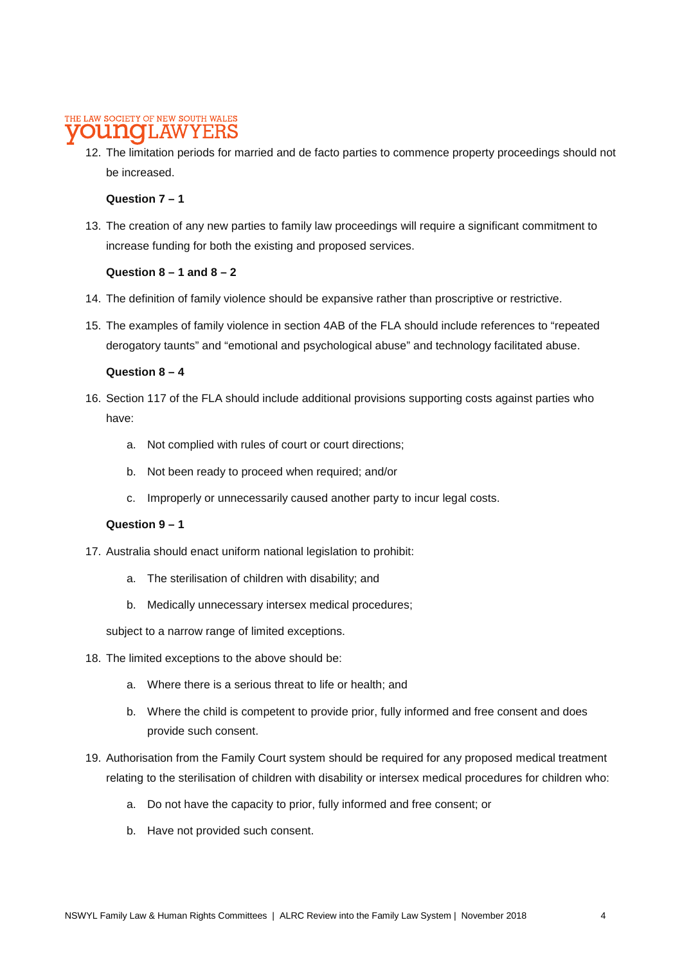#### THE LAW SOCIETY OF NEW SOUTH WALES onno T.AW Y E:F

12. The limitation periods for married and de facto parties to commence property proceedings should not be increased.

### **Question 7 – 1**

13. The creation of any new parties to family law proceedings will require a significant commitment to increase funding for both the existing and proposed services.

### **Question 8 – 1 and 8 – 2**

- 14. The definition of family violence should be expansive rather than proscriptive or restrictive.
- 15. The examples of family violence in section 4AB of the FLA should include references to "repeated derogatory taunts" and "emotional and psychological abuse" and technology facilitated abuse.

### **Question 8 – 4**

- 16. Section 117 of the FLA should include additional provisions supporting costs against parties who have:
	- a. Not complied with rules of court or court directions;
	- b. Not been ready to proceed when required; and/or
	- c. Improperly or unnecessarily caused another party to incur legal costs.

### **Question 9 – 1**

- 17. Australia should enact uniform national legislation to prohibit:
	- a. The sterilisation of children with disability; and
	- b. Medically unnecessary intersex medical procedures;

subject to a narrow range of limited exceptions.

- 18. The limited exceptions to the above should be:
	- a. Where there is a serious threat to life or health; and
	- b. Where the child is competent to provide prior, fully informed and free consent and does provide such consent.
- 19. Authorisation from the Family Court system should be required for any proposed medical treatment relating to the sterilisation of children with disability or intersex medical procedures for children who:
	- a. Do not have the capacity to prior, fully informed and free consent; or
	- b. Have not provided such consent.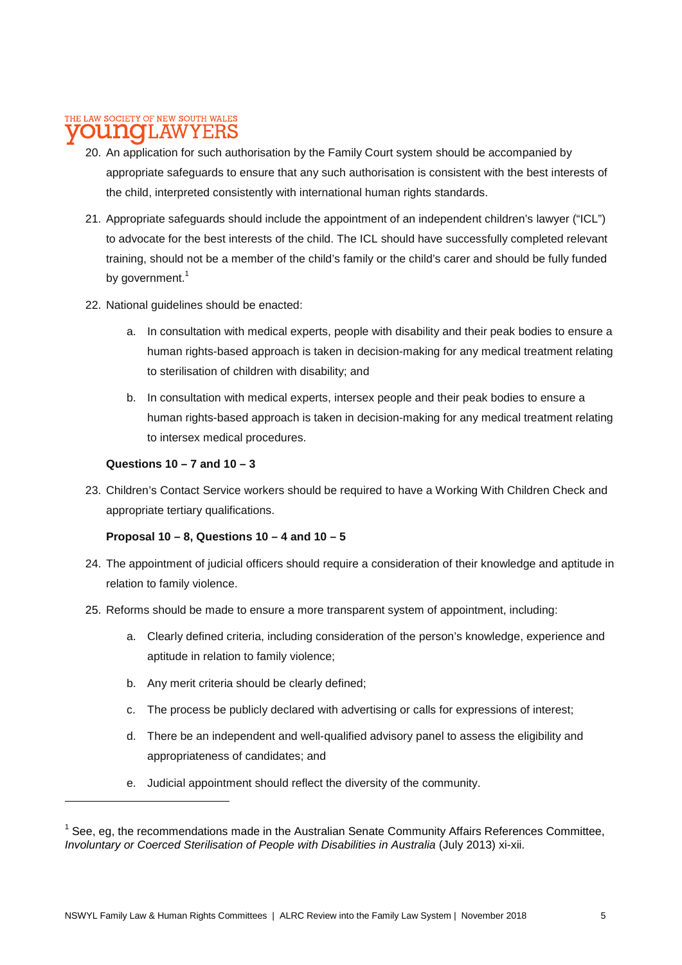#### THE LAW SOCIETY OF NEW SOUTH WALES **NOL.AW** Y E:F

- 20. An application for such authorisation by the Family Court system should be accompanied by appropriate safeguards to ensure that any such authorisation is consistent with the best interests of the child, interpreted consistently with international human rights standards.
- 21. Appropriate safeguards should include the appointment of an independent children's lawyer ("ICL") to advocate for the best interests of the child. The ICL should have successfully completed relevant training, should not be a member of the child's family or the child's carer and should be fully funded by government.<sup>1</sup>
- 22. National guidelines should be enacted:
	- a. In consultation with medical experts, people with disability and their peak bodies to ensure a human rights-based approach is taken in decision-making for any medical treatment relating to sterilisation of children with disability; and
	- b. In consultation with medical experts, intersex people and their peak bodies to ensure a human rights-based approach is taken in decision-making for any medical treatment relating to intersex medical procedures.

#### **Questions 10 – 7 and 10 – 3**

23. Children's Contact Service workers should be required to have a Working With Children Check and appropriate tertiary qualifications.

### **Proposal 10 – 8, Questions 10 – 4 and 10 – 5**

- 24. The appointment of judicial officers should require a consideration of their knowledge and aptitude in relation to family violence.
- 25. Reforms should be made to ensure a more transparent system of appointment, including:
	- a. Clearly defined criteria, including consideration of the person's knowledge, experience and aptitude in relation to family violence;
	- b. Any merit criteria should be clearly defined;
	- c. The process be publicly declared with advertising or calls for expressions of interest;
	- d. There be an independent and well-qualified advisory panel to assess the eligibility and appropriateness of candidates; and
	- e. Judicial appointment should reflect the diversity of the community.

 $1$  See, eg, the recommendations made in the Australian Senate Community Affairs References Committee, *Involuntary or Coerced Sterilisation of People with Disabilities in Australia* (July 2013) xi-xii.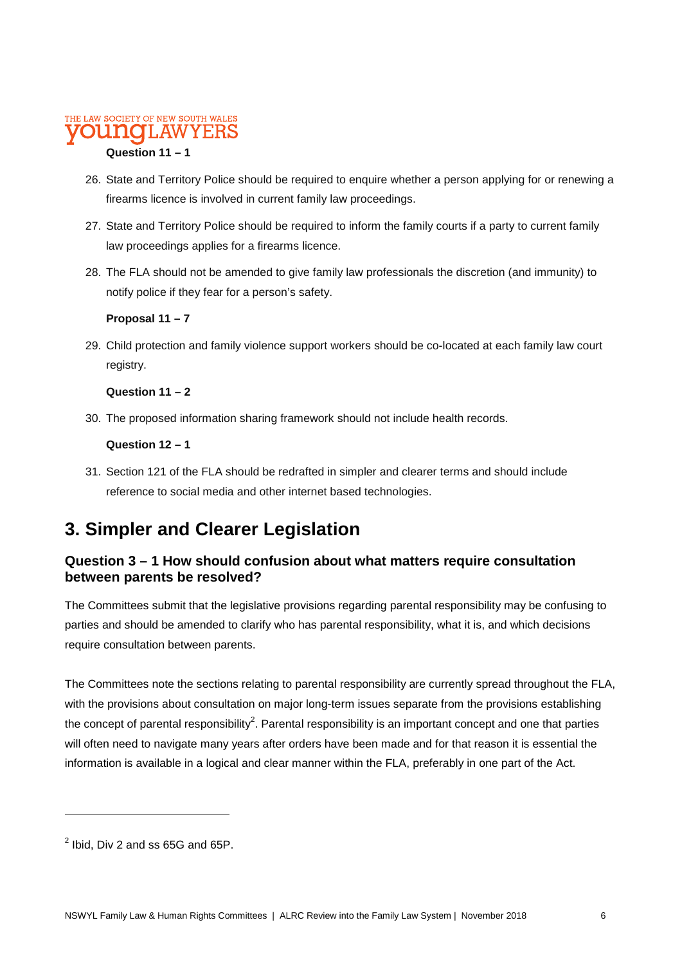# THE LAW SOCIETY OF NEW SOUTH WALES

### **Question 11 – 1**

- 26. State and Territory Police should be required to enquire whether a person applying for or renewing a firearms licence is involved in current family law proceedings.
- 27. State and Territory Police should be required to inform the family courts if a party to current family law proceedings applies for a firearms licence.
- 28. The FLA should not be amended to give family law professionals the discretion (and immunity) to notify police if they fear for a person's safety.

### **Proposal 11 – 7**

29. Child protection and family violence support workers should be co-located at each family law court registry.

### **Question 11 – 2**

30. The proposed information sharing framework should not include health records.

### **Question 12 – 1**

31. Section 121 of the FLA should be redrafted in simpler and clearer terms and should include reference to social media and other internet based technologies.

# **3. Simpler and Clearer Legislation**

## **Question 3 – 1 How should confusion about what matters require consultation between parents be resolved?**

The Committees submit that the legislative provisions regarding parental responsibility may be confusing to parties and should be amended to clarify who has parental responsibility, what it is, and which decisions require consultation between parents.

The Committees note the sections relating to parental responsibility are currently spread throughout the FLA, with the provisions about consultation on major long-term issues separate from the provisions establishing the concept of parental responsibility<sup>2</sup>. Parental responsibility is an important concept and one that parties will often need to navigate many years after orders have been made and for that reason it is essential the information is available in a logical and clear manner within the FLA, preferably in one part of the Act.

 $^2$  lbid, Div 2 and ss 65G and 65P.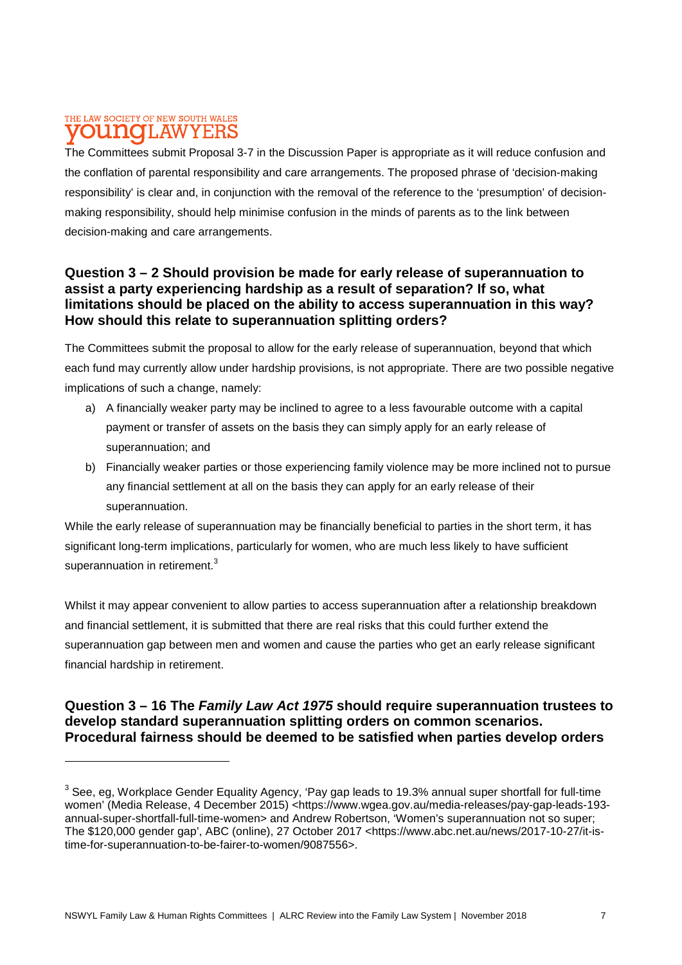#### THE LAW SOCIETY OF NEW SOUTH WALES T.AW nnaio **YEBS**

The Committees submit Proposal 3-7 in the Discussion Paper is appropriate as it will reduce confusion and the conflation of parental responsibility and care arrangements. The proposed phrase of 'decision-making responsibility' is clear and, in conjunction with the removal of the reference to the 'presumption' of decisionmaking responsibility, should help minimise confusion in the minds of parents as to the link between decision-making and care arrangements.

## **Question 3 – 2 Should provision be made for early release of superannuation to assist a party experiencing hardship as a result of separation? If so, what limitations should be placed on the ability to access superannuation in this way? How should this relate to superannuation splitting orders?**

The Committees submit the proposal to allow for the early release of superannuation, beyond that which each fund may currently allow under hardship provisions, is not appropriate. There are two possible negative implications of such a change, namely:

- a) A financially weaker party may be inclined to agree to a less favourable outcome with a capital payment or transfer of assets on the basis they can simply apply for an early release of superannuation; and
- b) Financially weaker parties or those experiencing family violence may be more inclined not to pursue any financial settlement at all on the basis they can apply for an early release of their superannuation.

While the early release of superannuation may be financially beneficial to parties in the short term, it has significant long-term implications, particularly for women, who are much less likely to have sufficient superannuation in retirement.<sup>3</sup>

Whilst it may appear convenient to allow parties to access superannuation after a relationship breakdown and financial settlement, it is submitted that there are real risks that this could further extend the superannuation gap between men and women and cause the parties who get an early release significant financial hardship in retirement.

### **Question 3 – 16 The** *Family Law Act 1975* **should require superannuation trustees to develop standard superannuation splitting orders on common scenarios. Procedural fairness should be deemed to be satisfied when parties develop orders**

 $3$  See, eg, Workplace Gender Equality Agency, 'Pay gap leads to 19.3% annual super shortfall for full-time women' (Media Release, 4 December 2015) <https://www.wgea.gov.au/media-releases/pay-gap-leads-193 annual-super-shortfall-full-time-women> and Andrew Robertson, 'Women's superannuation not so super; The \$120,000 gender gap', ABC (online), 27 October 2017 <https://www.abc.net.au/news/2017-10-27/it-istime-for-superannuation-to-be-fairer-to-women/9087556>.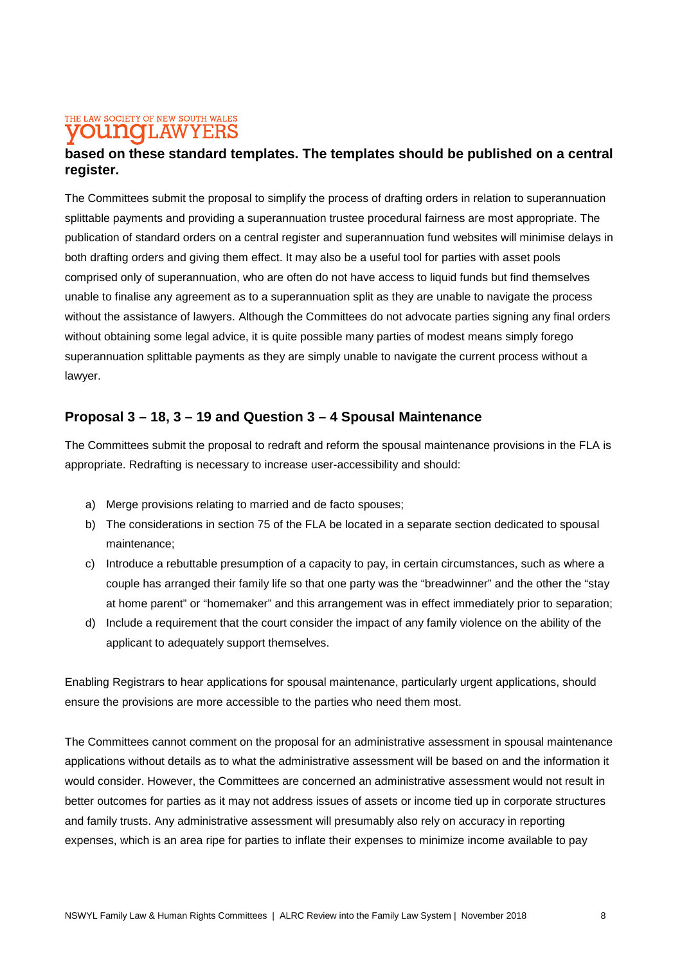#### THE LAW SOCIETY OF NEW SOUTH WALES **OUITIC II.AWYEH**

## **based on these standard templates. The templates should be published on a central register.**

The Committees submit the proposal to simplify the process of drafting orders in relation to superannuation splittable payments and providing a superannuation trustee procedural fairness are most appropriate. The publication of standard orders on a central register and superannuation fund websites will minimise delays in both drafting orders and giving them effect. It may also be a useful tool for parties with asset pools comprised only of superannuation, who are often do not have access to liquid funds but find themselves unable to finalise any agreement as to a superannuation split as they are unable to navigate the process without the assistance of lawyers. Although the Committees do not advocate parties signing any final orders without obtaining some legal advice, it is quite possible many parties of modest means simply forego superannuation splittable payments as they are simply unable to navigate the current process without a lawyer.

## **Proposal 3 – 18, 3 – 19 and Question 3 – 4 Spousal Maintenance**

The Committees submit the proposal to redraft and reform the spousal maintenance provisions in the FLA is appropriate. Redrafting is necessary to increase user-accessibility and should:

- a) Merge provisions relating to married and de facto spouses;
- b) The considerations in section 75 of the FLA be located in a separate section dedicated to spousal maintenance;
- c) Introduce a rebuttable presumption of a capacity to pay, in certain circumstances, such as where a couple has arranged their family life so that one party was the "breadwinner" and the other the "stay at home parent" or "homemaker" and this arrangement was in effect immediately prior to separation;
- d) Include a requirement that the court consider the impact of any family violence on the ability of the applicant to adequately support themselves.

Enabling Registrars to hear applications for spousal maintenance, particularly urgent applications, should ensure the provisions are more accessible to the parties who need them most.

The Committees cannot comment on the proposal for an administrative assessment in spousal maintenance applications without details as to what the administrative assessment will be based on and the information it would consider. However, the Committees are concerned an administrative assessment would not result in better outcomes for parties as it may not address issues of assets or income tied up in corporate structures and family trusts. Any administrative assessment will presumably also rely on accuracy in reporting expenses, which is an area ripe for parties to inflate their expenses to minimize income available to pay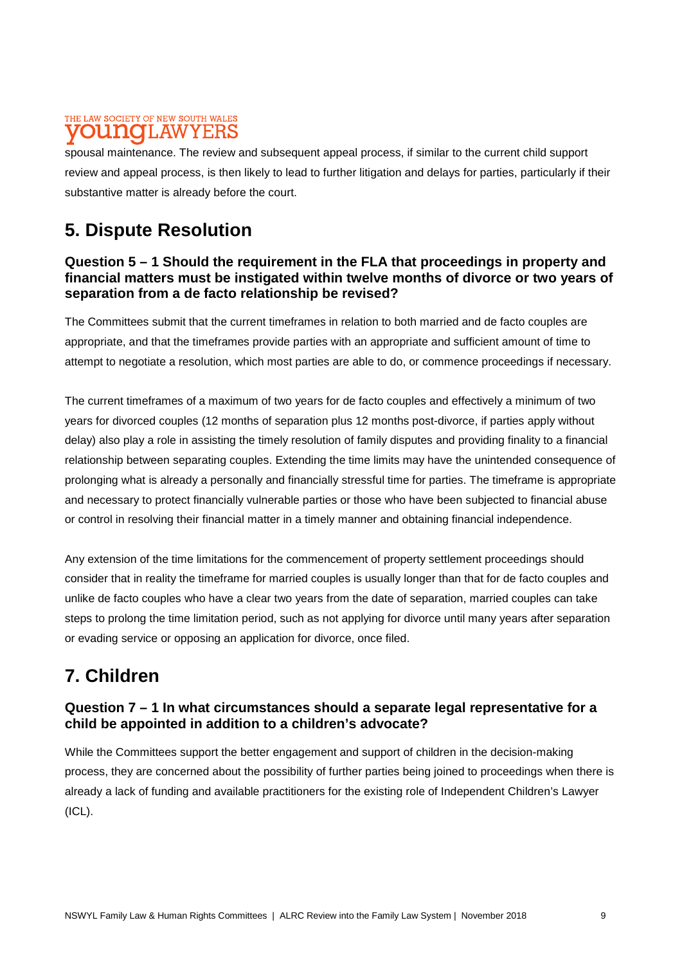#### THE LAW SOCIETY OF NEW SOUTH WALES 1.AW YERS

spousal maintenance. The review and subsequent appeal process, if similar to the current child support review and appeal process, is then likely to lead to further litigation and delays for parties, particularly if their substantive matter is already before the court.

# **5. Dispute Resolution**

### **Question 5 – 1 Should the requirement in the FLA that proceedings in property and financial matters must be instigated within twelve months of divorce or two years of separation from a de facto relationship be revised?**

The Committees submit that the current timeframes in relation to both married and de facto couples are appropriate, and that the timeframes provide parties with an appropriate and sufficient amount of time to attempt to negotiate a resolution, which most parties are able to do, or commence proceedings if necessary.

The current timeframes of a maximum of two years for de facto couples and effectively a minimum of two years for divorced couples (12 months of separation plus 12 months post-divorce, if parties apply without delay) also play a role in assisting the timely resolution of family disputes and providing finality to a financial relationship between separating couples. Extending the time limits may have the unintended consequence of prolonging what is already a personally and financially stressful time for parties. The timeframe is appropriate and necessary to protect financially vulnerable parties or those who have been subjected to financial abuse or control in resolving their financial matter in a timely manner and obtaining financial independence.

Any extension of the time limitations for the commencement of property settlement proceedings should consider that in reality the timeframe for married couples is usually longer than that for de facto couples and unlike de facto couples who have a clear two years from the date of separation, married couples can take steps to prolong the time limitation period, such as not applying for divorce until many years after separation or evading service or opposing an application for divorce, once filed.

# **7. Children**

# **Question 7 – 1 In what circumstances should a separate legal representative for a child be appointed in addition to a children's advocate?**

While the Committees support the better engagement and support of children in the decision-making process, they are concerned about the possibility of further parties being joined to proceedings when there is already a lack of funding and available practitioners for the existing role of Independent Children's Lawyer (ICL).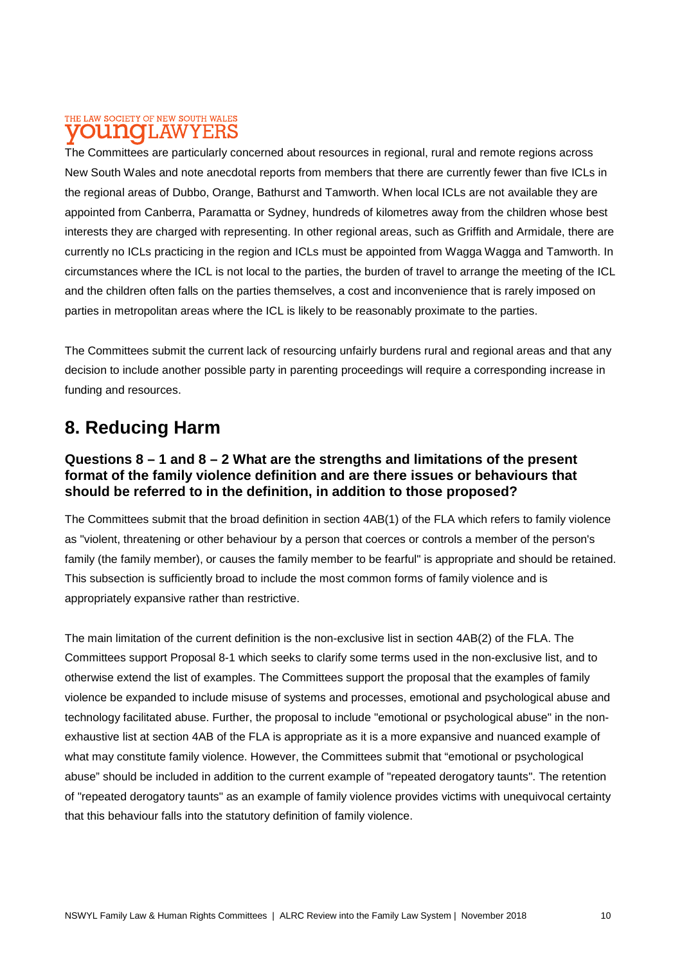### THE LAW SOCIETY OF NEW SOUTH WALES **OU NOT** AW

The Committees are particularly concerned about resources in regional, rural and remote regions across New South Wales and note anecdotal reports from members that there are currently fewer than five ICLs in the regional areas of Dubbo, Orange, Bathurst and Tamworth. When local ICLs are not available they are appointed from Canberra, Paramatta or Sydney, hundreds of kilometres away from the children whose best interests they are charged with representing. In other regional areas, such as Griffith and Armidale, there are currently no ICLs practicing in the region and ICLs must be appointed from Wagga Wagga and Tamworth. In circumstances where the ICL is not local to the parties, the burden of travel to arrange the meeting of the ICL and the children often falls on the parties themselves, a cost and inconvenience that is rarely imposed on parties in metropolitan areas where the ICL is likely to be reasonably proximate to the parties.

The Committees submit the current lack of resourcing unfairly burdens rural and regional areas and that any decision to include another possible party in parenting proceedings will require a corresponding increase in funding and resources.

# **8. Reducing Harm**

## **Questions 8 – 1 and 8 – 2 What are the strengths and limitations of the present format of the family violence definition and are there issues or behaviours that should be referred to in the definition, in addition to those proposed?**

The Committees submit that the broad definition in section 4AB(1) of the FLA which refers to family violence as "violent, threatening or other behaviour by a person that coerces or controls a member of the person's family (the family member), or causes the family member to be fearful" is appropriate and should be retained. This subsection is sufficiently broad to include the most common forms of family violence and is appropriately expansive rather than restrictive.

The main limitation of the current definition is the non-exclusive list in section 4AB(2) of the FLA. The Committees support Proposal 8-1 which seeks to clarify some terms used in the non-exclusive list, and to otherwise extend the list of examples. The Committees support the proposal that the examples of family violence be expanded to include misuse of systems and processes, emotional and psychological abuse and technology facilitated abuse. Further, the proposal to include "emotional or psychological abuse" in the nonexhaustive list at section 4AB of the FLA is appropriate as it is a more expansive and nuanced example of what may constitute family violence. However, the Committees submit that "emotional or psychological abuse" should be included in addition to the current example of "repeated derogatory taunts". The retention of "repeated derogatory taunts" as an example of family violence provides victims with unequivocal certainty that this behaviour falls into the statutory definition of family violence.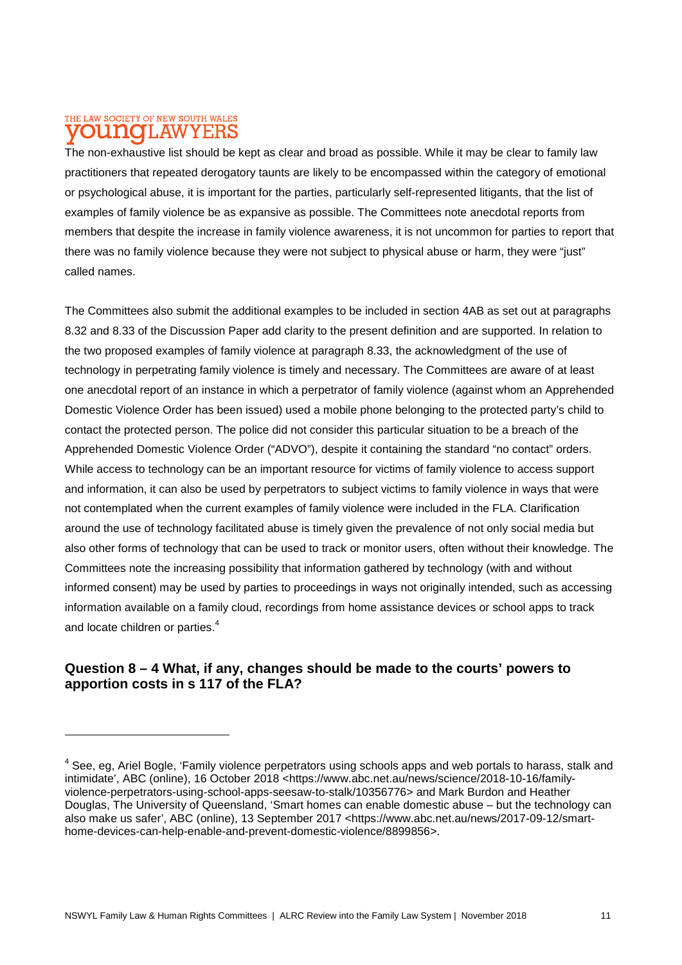#### THE LAW SOCIETY OF NEW SOUTH WALES T.AW mno **YEBS**

The non-exhaustive list should be kept as clear and broad as possible. While it may be clear to family law practitioners that repeated derogatory taunts are likely to be encompassed within the category of emotional or psychological abuse, it is important for the parties, particularly self-represented litigants, that the list of examples of family violence be as expansive as possible. The Committees note anecdotal reports from members that despite the increase in family violence awareness, it is not uncommon for parties to report that there was no family violence because they were not subject to physical abuse or harm, they were "just" called names.

The Committees also submit the additional examples to be included in section 4AB as set out at paragraphs 8.32 and 8.33 of the Discussion Paper add clarity to the present definition and are supported. In relation to the two proposed examples of family violence at paragraph 8.33, the acknowledgment of the use of technology in perpetrating family violence is timely and necessary. The Committees are aware of at least one anecdotal report of an instance in which a perpetrator of family violence (against whom an Apprehended Domestic Violence Order has been issued) used a mobile phone belonging to the protected party's child to contact the protected person. The police did not consider this particular situation to be a breach of the Apprehended Domestic Violence Order ("ADVO"), despite it containing the standard "no contact" orders. While access to technology can be an important resource for victims of family violence to access support and information, it can also be used by perpetrators to subject victims to family violence in ways that were not contemplated when the current examples of family violence were included in the FLA. Clarification around the use of technology facilitated abuse is timely given the prevalence of not only social media but also other forms of technology that can be used to track or monitor users, often without their knowledge. The Committees note the increasing possibility that information gathered by technology (with and without informed consent) may be used by parties to proceedings in ways not originally intended, such as accessing information available on a family cloud, recordings from home assistance devices or school apps to track and locate children or parties.<sup>4</sup>

## **Question 8 – 4 What, if any, changes should be made to the courts' powers to apportion costs in s 117 of the FLA?**

<sup>&</sup>lt;sup>4</sup> See, eg, Ariel Bogle, 'Family violence perpetrators using schools apps and web portals to harass, stalk and intimidate', ABC (online), 16 October 2018 <https://www.abc.net.au/news/science/2018-10-16/familyviolence-perpetrators-using-school-apps-seesaw-to-stalk/10356776> and Mark Burdon and Heather Douglas, The University of Queensland, 'Smart homes can enable domestic abuse – but the technology can also make us safer', ABC (online), 13 September 2017 <https://www.abc.net.au/news/2017-09-12/smarthome-devices-can-help-enable-and-prevent-domestic-violence/8899856>.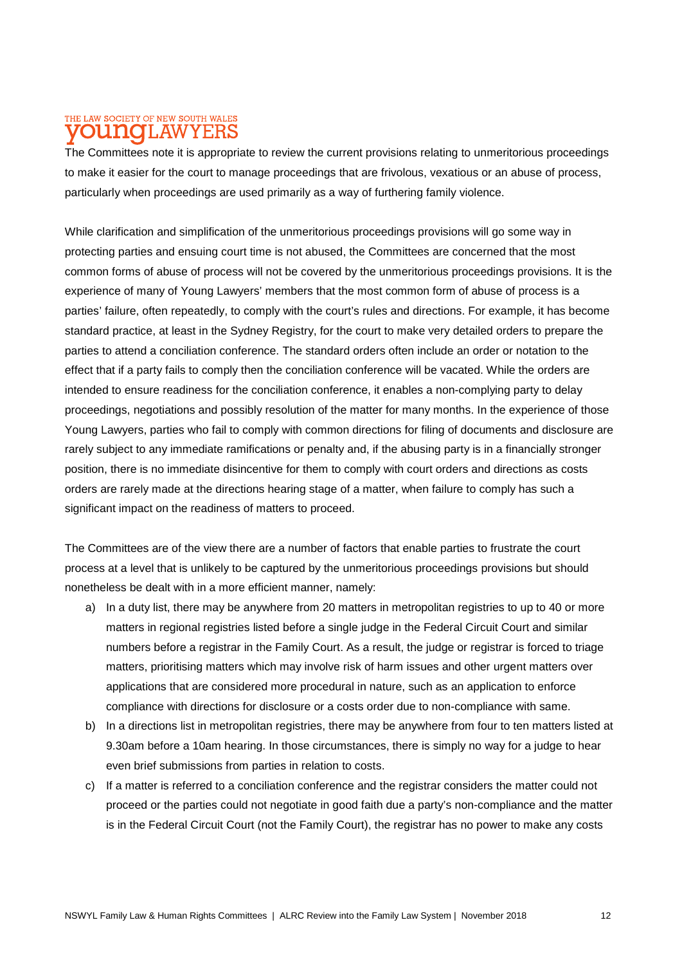### THE LAW SOCIETY OF NEW SOUTH WALES T.AW

The Committees note it is appropriate to review the current provisions relating to unmeritorious proceedings to make it easier for the court to manage proceedings that are frivolous, vexatious or an abuse of process, particularly when proceedings are used primarily as a way of furthering family violence.

While clarification and simplification of the unmeritorious proceedings provisions will go some way in protecting parties and ensuing court time is not abused, the Committees are concerned that the most common forms of abuse of process will not be covered by the unmeritorious proceedings provisions. It is the experience of many of Young Lawyers' members that the most common form of abuse of process is a parties' failure, often repeatedly, to comply with the court's rules and directions. For example, it has become standard practice, at least in the Sydney Registry, for the court to make very detailed orders to prepare the parties to attend a conciliation conference. The standard orders often include an order or notation to the effect that if a party fails to comply then the conciliation conference will be vacated. While the orders are intended to ensure readiness for the conciliation conference, it enables a non-complying party to delay proceedings, negotiations and possibly resolution of the matter for many months. In the experience of those Young Lawyers, parties who fail to comply with common directions for filing of documents and disclosure are rarely subject to any immediate ramifications or penalty and, if the abusing party is in a financially stronger position, there is no immediate disincentive for them to comply with court orders and directions as costs orders are rarely made at the directions hearing stage of a matter, when failure to comply has such a significant impact on the readiness of matters to proceed.

The Committees are of the view there are a number of factors that enable parties to frustrate the court process at a level that is unlikely to be captured by the unmeritorious proceedings provisions but should nonetheless be dealt with in a more efficient manner, namely:

- a) In a duty list, there may be anywhere from 20 matters in metropolitan registries to up to 40 or more matters in regional registries listed before a single judge in the Federal Circuit Court and similar numbers before a registrar in the Family Court. As a result, the judge or registrar is forced to triage matters, prioritising matters which may involve risk of harm issues and other urgent matters over applications that are considered more procedural in nature, such as an application to enforce compliance with directions for disclosure or a costs order due to non-compliance with same.
- b) In a directions list in metropolitan registries, there may be anywhere from four to ten matters listed at 9.30am before a 10am hearing. In those circumstances, there is simply no way for a judge to hear even brief submissions from parties in relation to costs.
- c) If a matter is referred to a conciliation conference and the registrar considers the matter could not proceed or the parties could not negotiate in good faith due a party's non-compliance and the matter is in the Federal Circuit Court (not the Family Court), the registrar has no power to make any costs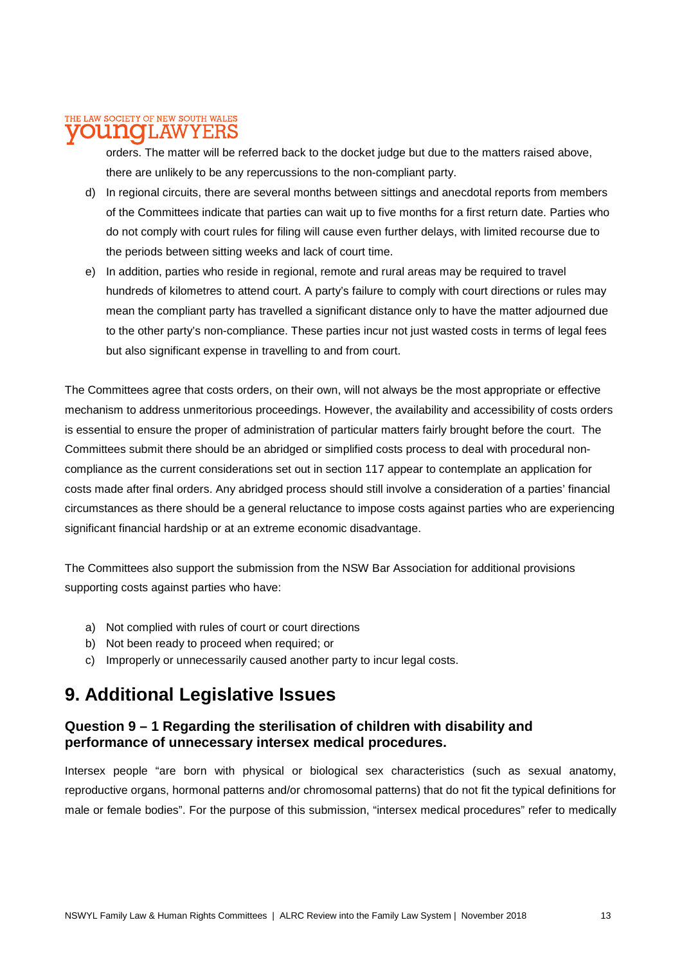# THE LAW SOCIETY OF NEW SOUTH WALES

**I.AW** 

orders. The matter will be referred back to the docket judge but due to the matters raised above, there are unlikely to be any repercussions to the non-compliant party.

- d) In regional circuits, there are several months between sittings and anecdotal reports from members of the Committees indicate that parties can wait up to five months for a first return date. Parties who do not comply with court rules for filing will cause even further delays, with limited recourse due to the periods between sitting weeks and lack of court time.
- e) In addition, parties who reside in regional, remote and rural areas may be required to travel hundreds of kilometres to attend court. A party's failure to comply with court directions or rules may mean the compliant party has travelled a significant distance only to have the matter adjourned due to the other party's non-compliance. These parties incur not just wasted costs in terms of legal fees but also significant expense in travelling to and from court.

The Committees agree that costs orders, on their own, will not always be the most appropriate or effective mechanism to address unmeritorious proceedings. However, the availability and accessibility of costs orders is essential to ensure the proper of administration of particular matters fairly brought before the court. The Committees submit there should be an abridged or simplified costs process to deal with procedural noncompliance as the current considerations set out in section 117 appear to contemplate an application for costs made after final orders. Any abridged process should still involve a consideration of a parties' financial circumstances as there should be a general reluctance to impose costs against parties who are experiencing significant financial hardship or at an extreme economic disadvantage.

The Committees also support the submission from the NSW Bar Association for additional provisions supporting costs against parties who have:

- a) Not complied with rules of court or court directions
- b) Not been ready to proceed when required; or
- c) Improperly or unnecessarily caused another party to incur legal costs.

# **9. Additional Legislative Issues**

## **Question 9 – 1 Regarding the sterilisation of children with disability and performance of unnecessary intersex medical procedures.**

Intersex people "are born with physical or biological sex characteristics (such as sexual anatomy, reproductive organs, hormonal patterns and/or chromosomal patterns) that do not fit the typical definitions for male or female bodies". For the purpose of this submission, "intersex medical procedures" refer to medically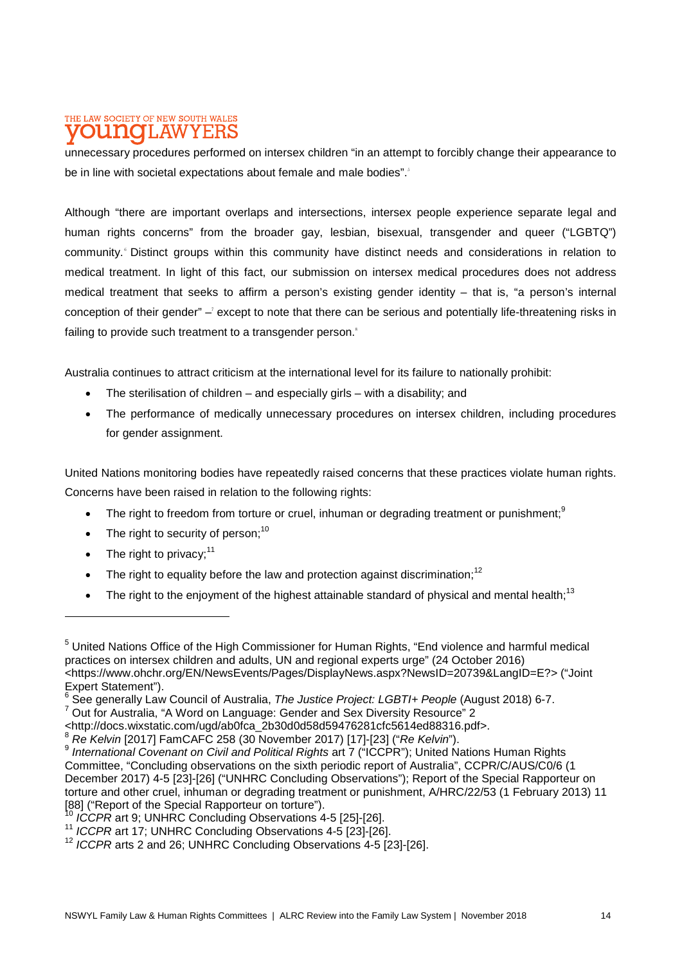#### THE LAW SOCIETY OF NEW SOUTH WALES UNOT AW Y E:F

unnecessary procedures performed on intersex children "in an attempt to forcibly change their appearance to be in line with societal expectations about female and male bodies".<sup>5</sup>

Although "there are important overlaps and intersections, intersex people experience separate legal and human rights concerns" from the broader gay, lesbian, bisexual, transgender and queer ("LGBTQ") community. Distinct groups within this community have distinct needs and considerations in relation to medical treatment. In light of this fact, our submission on intersex medical procedures does not address medical treatment that seeks to affirm a person's existing gender identity – that is, "a person's internal conception of their gender" – except to note that there can be serious and potentially life-threatening risks in failing to provide such treatment to a transgender person.<sup>8</sup>

Australia continues to attract criticism at the international level for its failure to nationally prohibit:

- The sterilisation of children and especially girls with a disability; and
- The performance of medically unnecessary procedures on intersex children, including procedures for gender assignment.

United Nations monitoring bodies have repeatedly raised concerns that these practices violate human rights. Concerns have been raised in relation to the following rights:

- The right to freedom from torture or cruel, inhuman or degrading treatment or punishment;<sup>9</sup>
- The right to security of person: $10$
- $\bullet$  The right to privacy:<sup>11</sup>
- The right to equality before the law and protection against discrimination;<sup>12</sup>
- The right to the enjoyment of the highest attainable standard of physical and mental health;<sup>13</sup>

<sup>&</sup>lt;sup>5</sup> United Nations Office of the High Commissioner for Human Rights, "End violence and harmful medical practices on intersex children and adults, UN and regional experts urge" (24 October 2016) <https://www.ohchr.org/EN/NewsEvents/Pages/DisplayNews.aspx?NewsID=20739&LangID=E?> ("Joint Expert Statement").

<sup>6</sup> See generally Law Council of Australia, *The Justice Project: LGBTI+ People* (August 2018) 6-7.

<sup>&</sup>lt;sup>7</sup> Out for Australia, "A Word on Language: Gender and Sex Diversity Resource" 2

 $\frac{1}{2}$  <http://docs.wixstatic.com/ugd/ab0fca\_2b30d0d58d59476281cfc5614ed88316.pdf>.

<sup>8</sup> *Re Kelvin* [2017] FamCAFC 258 (30 November 2017) [17]-[23] ("*Re Kelvin*").

<sup>9</sup> *International Covenant on Civil and Political Rights* art 7 ("ICCPR"); United Nations Human Rights Committee, "Concluding observations on the sixth periodic report of Australia", CCPR/C/AUS/C0/6 (1 December 2017) 4-5 [23]-[26] ("UNHRC Concluding Observations"); Report of the Special Rapporteur on torture and other cruel, inhuman or degrading treatment or punishment, A/HRC/22/53 (1 February 2013) 11 [88] ("Report of the Special Rapporteur on torture").

<sup>10</sup> *ICCPR* art 9; UNHRC Concluding Observations 4-5 [25]-[26].

<sup>11</sup> *ICCPR* art 17; UNHRC Concluding Observations 4-5 [23]-[26].

<sup>12</sup> *ICCPR* arts 2 and 26; UNHRC Concluding Observations 4-5 [23]-[26].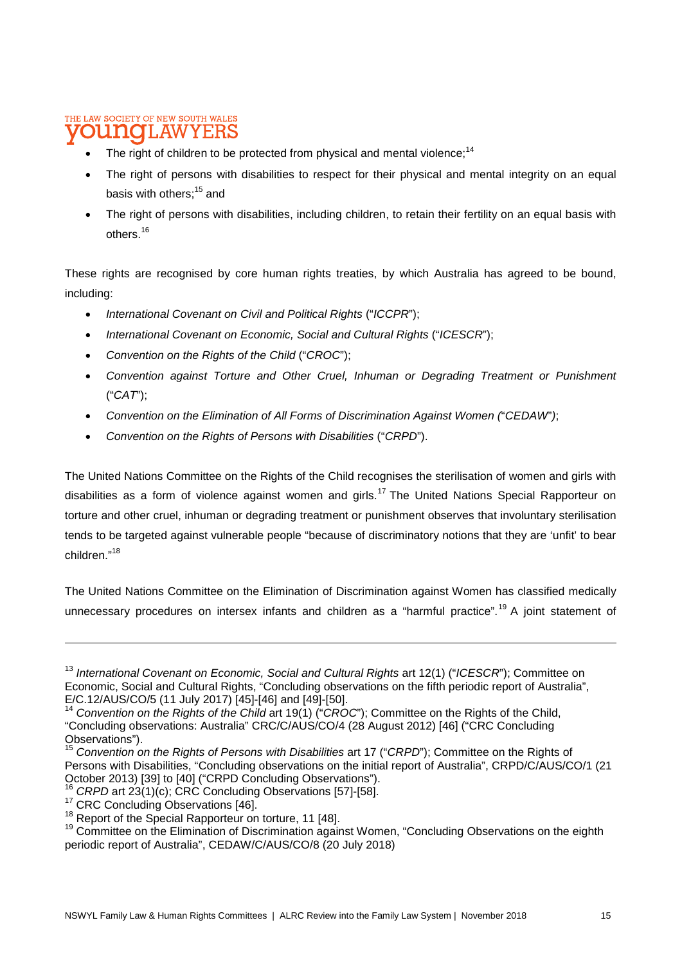#### THE LAW SOCIETY OF NEW SOUTH WALES **IOTLAW** Y E:F

- The right of children to be protected from physical and mental violence: $14$
- The right of persons with disabilities to respect for their physical and mental integrity on an equal basis with others:<sup>15</sup> and
- The right of persons with disabilities, including children, to retain their fertility on an equal basis with others.<sup>16</sup>

These rights are recognised by core human rights treaties, by which Australia has agreed to be bound, including:

- *International Covenant on Civil and Political Rights* ("*ICCPR*");
- *International Covenant on Economic, Social and Cultural Rights* ("*ICESCR*");
- *Convention on the Rights of the Child* ("*CROC*");
- *Convention against Torture and Other Cruel, Inhuman or Degrading Treatment or Punishment*  ("*CAT*");
- *Convention on the Elimination of All Forms of Discrimination Against Women (*"*CEDAW*"*)*;
- *Convention on the Rights of Persons with Disabilities* ("*CRPD*").

The United Nations Committee on the Rights of the Child recognises the sterilisation of women and girls with disabilities as a form of violence against women and girls.<sup>17</sup> The United Nations Special Rapporteur on torture and other cruel, inhuman or degrading treatment or punishment observes that involuntary sterilisation tends to be targeted against vulnerable people "because of discriminatory notions that they are 'unfit' to bear children."<sup>18</sup>

The United Nations Committee on the Elimination of Discrimination against Women has classified medically unnecessary procedures on intersex infants and children as a "harmful practice".<sup>19</sup> A joint statement of

<sup>&</sup>lt;sup>13</sup> International Covenant on Economic, Social and Cultural Rights art 12(1) ("ICESCR"); Committee on Economic, Social and Cultural Rights, "Concluding observations on the fifth periodic report of Australia", E/C.12/AUS/CO/5 (11 July 2017) [45]-[46] and [49]-[50].

<sup>14</sup> *Convention on the Rights of the Child* art 19(1) ("*CROC*"); Committee on the Rights of the Child, "Concluding observations: Australia" CRC/C/AUS/CO/4 (28 August 2012) [46] ("CRC Concluding Observations").

<sup>15</sup> *Convention on the Rights of Persons with Disabilities* art 17 ("*CRPD*"); Committee on the Rights of Persons with Disabilities, "Concluding observations on the initial report of Australia", CRPD/C/AUS/CO/1 (21 October 2013) [39] to [40] ("CRPD Concluding Observations").

<sup>&</sup>lt;sup>16</sup> CRPD art 23(1)(c); CRC Concluding Observations [57]-[58].

<sup>&</sup>lt;sup>17</sup> CRC Concluding Observations [46].

<sup>&</sup>lt;sup>18</sup> Report of the Special Rapporteur on torture, 11 [48].

<sup>&</sup>lt;sup>19</sup> Committee on the Elimination of Discrimination against Women, "Concluding Observations on the eighth periodic report of Australia", CEDAW/C/AUS/CO/8 (20 July 2018)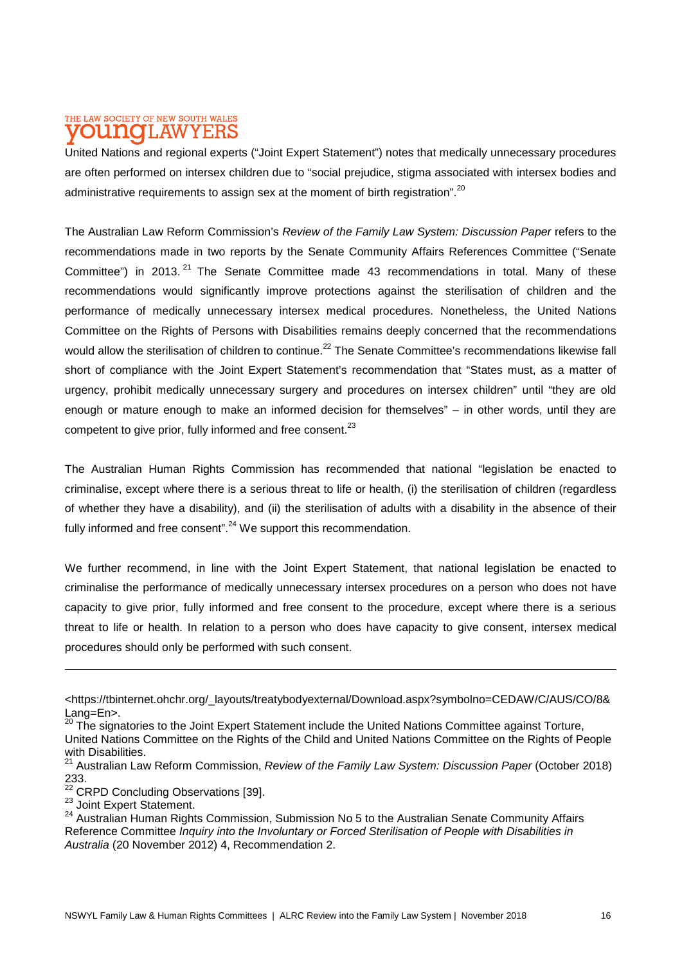#### THE LAW SOCIETY OF NEW SOUTH WALES **DU NOTLAW** Y E:F

United Nations and regional experts ("Joint Expert Statement") notes that medically unnecessary procedures are often performed on intersex children due to "social prejudice, stigma associated with intersex bodies and administrative requirements to assign sex at the moment of birth registration".<sup>20</sup>

The Australian Law Reform Commission's *Review of the Family Law System: Discussion Paper* refers to the recommendations made in two reports by the Senate Community Affairs References Committee ("Senate Committee") in 2013.<sup>21</sup> The Senate Committee made 43 recommendations in total. Many of these recommendations would significantly improve protections against the sterilisation of children and the performance of medically unnecessary intersex medical procedures. Nonetheless, the United Nations Committee on the Rights of Persons with Disabilities remains deeply concerned that the recommendations would allow the sterilisation of children to continue.<sup>22</sup> The Senate Committee's recommendations likewise fall short of compliance with the Joint Expert Statement's recommendation that "States must, as a matter of urgency, prohibit medically unnecessary surgery and procedures on intersex children" until "they are old enough or mature enough to make an informed decision for themselves" – in other words, until they are competent to give prior, fully informed and free consent.<sup>23</sup>

The Australian Human Rights Commission has recommended that national "legislation be enacted to criminalise, except where there is a serious threat to life or health, (i) the sterilisation of children (regardless of whether they have a disability), and (ii) the sterilisation of adults with a disability in the absence of their fully informed and free consent".<sup>24</sup> We support this recommendation.

We further recommend, in line with the Joint Expert Statement, that national legislation be enacted to criminalise the performance of medically unnecessary intersex procedures on a person who does not have capacity to give prior, fully informed and free consent to the procedure, except where there is a serious threat to life or health. In relation to a person who does have capacity to give consent, intersex medical procedures should only be performed with such consent.

- <sup>22</sup> CRPD Concluding Observations [39].
- <sup>23</sup> Joint Expert Statement.

<sup>&</sup>lt;https://tbinternet.ohchr.org/\_layouts/treatybodyexternal/Download.aspx?symbolno=CEDAW/C/AUS/CO/8& Lang=En>.

<sup>&</sup>lt;sup>20</sup> The signatories to the Joint Expert Statement include the United Nations Committee against Torture, United Nations Committee on the Rights of the Child and United Nations Committee on the Rights of People with Disabilities.

<sup>&</sup>lt;sup>21</sup> Australian Law Reform Commission, *Review of the Family Law System: Discussion Paper* (October 2018) 233.

<sup>24</sup> Australian Human Rights Commission, Submission No 5 to the Australian Senate Community Affairs Reference Committee *Inquiry into the Involuntary or Forced Sterilisation of People with Disabilities in Australia* (20 November 2012) 4, Recommendation 2.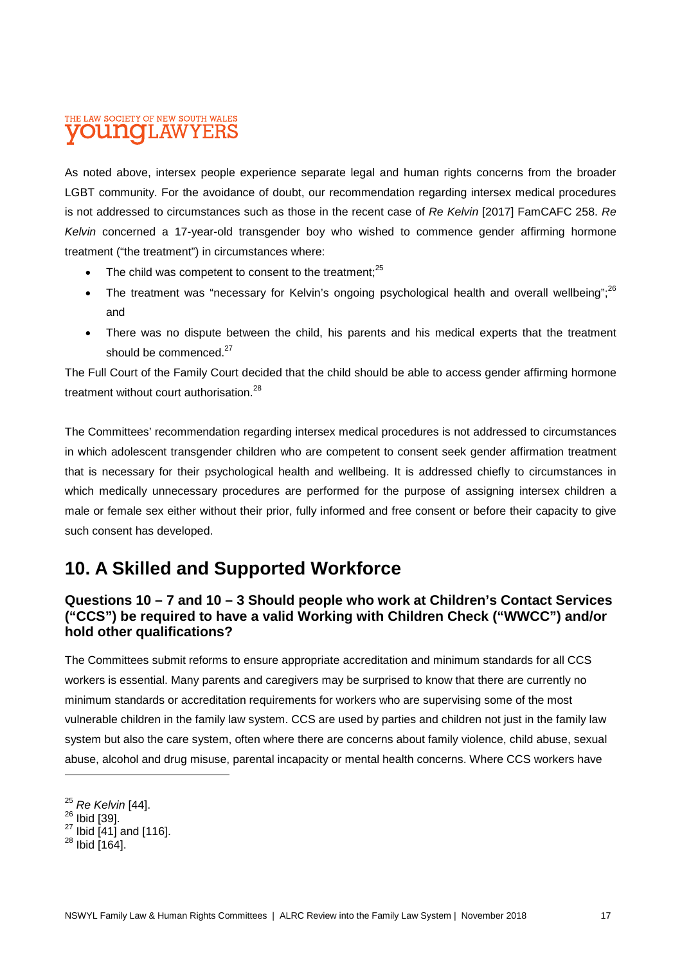#### THE LAW SOCIETY OF NEW SOUTH WALES II.AW oidhako

As noted above, intersex people experience separate legal and human rights concerns from the broader LGBT community. For the avoidance of doubt, our recommendation regarding intersex medical procedures is not addressed to circumstances such as those in the recent case of *Re Kelvin* [2017] FamCAFC 258. *Re Kelvin* concerned a 17-year-old transgender boy who wished to commence gender affirming hormone treatment ("the treatment") in circumstances where:

- The child was competent to consent to the treatment:<sup>25</sup>
- The treatment was "necessary for Kelvin's ongoing psychological health and overall wellbeing";<sup>26</sup> and
- There was no dispute between the child, his parents and his medical experts that the treatment should be commenced.<sup>27</sup>

The Full Court of the Family Court decided that the child should be able to access gender affirming hormone treatment without court authorisation.<sup>28</sup>

The Committees' recommendation regarding intersex medical procedures is not addressed to circumstances in which adolescent transgender children who are competent to consent seek gender affirmation treatment that is necessary for their psychological health and wellbeing. It is addressed chiefly to circumstances in which medically unnecessary procedures are performed for the purpose of assigning intersex children a male or female sex either without their prior, fully informed and free consent or before their capacity to give such consent has developed.

# **10. A Skilled and Supported Workforce**

## **Questions 10 – 7 and 10 – 3 Should people who work at Children's Contact Services ("CCS") be required to have a valid Working with Children Check ("WWCC") and/or hold other qualifications?**

The Committees submit reforms to ensure appropriate accreditation and minimum standards for all CCS workers is essential. Many parents and caregivers may be surprised to know that there are currently no minimum standards or accreditation requirements for workers who are supervising some of the most vulnerable children in the family law system. CCS are used by parties and children not just in the family law system but also the care system, often where there are concerns about family violence, child abuse, sexual abuse, alcohol and drug misuse, parental incapacity or mental health concerns. Where CCS workers have

<sup>25</sup> *Re Kelvin* [44].

<sup>&</sup>lt;sup>26</sup> Ibid [39].

 $^{27}$  Ibid [41] and [116].

 $28$  Ibid [164].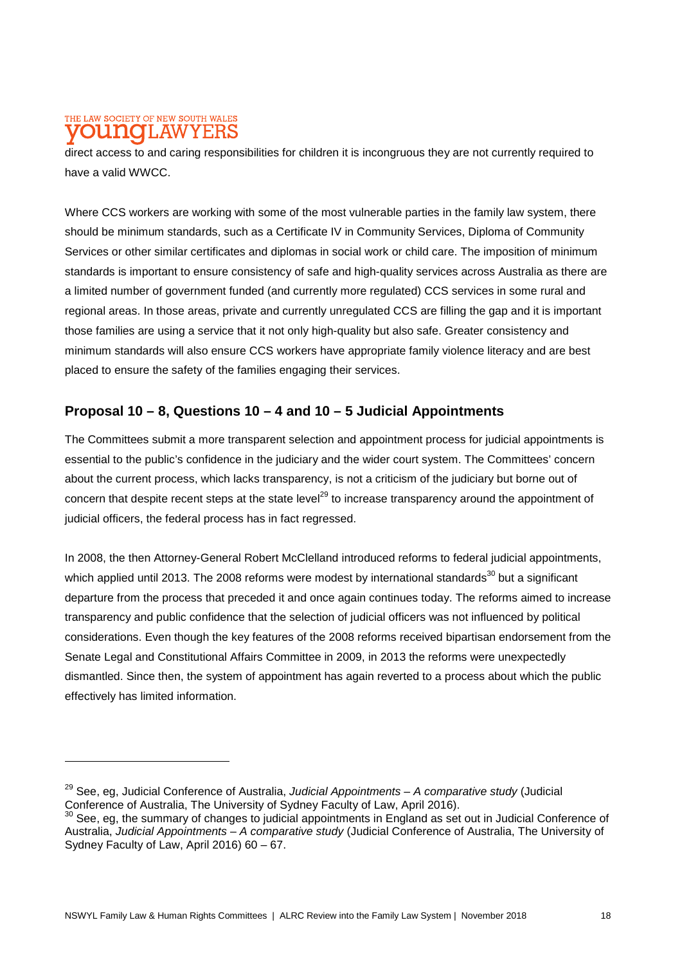#### THE LAW SOCIETY OF NEW SOUTH WALES 1.AW Y F.RS

direct access to and caring responsibilities for children it is incongruous they are not currently required to have a valid WWCC.

Where CCS workers are working with some of the most vulnerable parties in the family law system, there should be minimum standards, such as a Certificate IV in Community Services, Diploma of Community Services or other similar certificates and diplomas in social work or child care. The imposition of minimum standards is important to ensure consistency of safe and high-quality services across Australia as there are a limited number of government funded (and currently more regulated) CCS services in some rural and regional areas. In those areas, private and currently unregulated CCS are filling the gap and it is important those families are using a service that it not only high-quality but also safe. Greater consistency and minimum standards will also ensure CCS workers have appropriate family violence literacy and are best placed to ensure the safety of the families engaging their services.

## **Proposal 10 – 8, Questions 10 – 4 and 10 – 5 Judicial Appointments**

The Committees submit a more transparent selection and appointment process for judicial appointments is essential to the public's confidence in the judiciary and the wider court system. The Committees' concern about the current process, which lacks transparency, is not a criticism of the judiciary but borne out of concern that despite recent steps at the state level<sup>29</sup> to increase transparency around the appointment of judicial officers, the federal process has in fact regressed.

In 2008, the then Attorney-General Robert McClelland introduced reforms to federal judicial appointments, which applied until 2013. The 2008 reforms were modest by international standards<sup>30</sup> but a significant departure from the process that preceded it and once again continues today. The reforms aimed to increase transparency and public confidence that the selection of judicial officers was not influenced by political considerations. Even though the key features of the 2008 reforms received bipartisan endorsement from the Senate Legal and Constitutional Affairs Committee in 2009, in 2013 the reforms were unexpectedly dismantled. Since then, the system of appointment has again reverted to a process about which the public effectively has limited information.

<sup>29</sup> See, eg, Judicial Conference of Australia, *Judicial Appointments – A comparative study* (Judicial Conference of Australia, The University of Sydney Faculty of Law, April 2016).

See, eg, the summary of changes to judicial appointments in England as set out in Judicial Conference of Australia, *Judicial Appointments – A comparative study* (Judicial Conference of Australia, The University of Sydney Faculty of Law, April 2016) 60 – 67.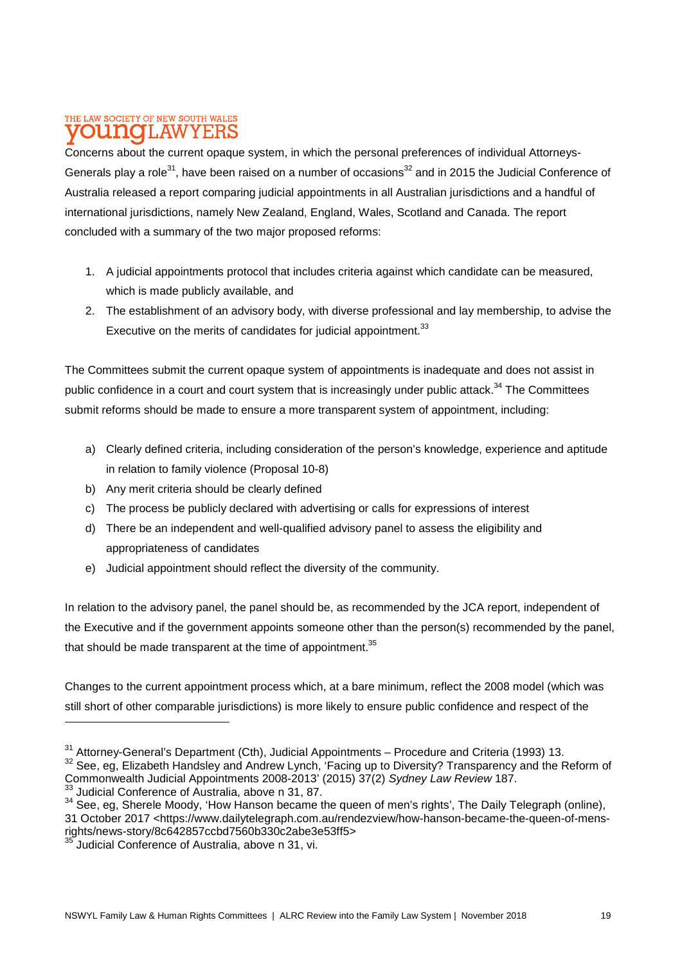#### THE LAW SOCIETY OF NEW SOUTH WALES **DU NOTLAW** Y E:F

Concerns about the current opaque system, in which the personal preferences of individual Attorneys-Generals play a role<sup>31</sup>, have been raised on a number of occasions<sup>32</sup> and in 2015 the Judicial Conference of Australia released a report comparing judicial appointments in all Australian jurisdictions and a handful of international jurisdictions, namely New Zealand, England, Wales, Scotland and Canada. The report concluded with a summary of the two major proposed reforms:

- 1. A judicial appointments protocol that includes criteria against which candidate can be measured, which is made publicly available, and
- 2. The establishment of an advisory body, with diverse professional and lay membership, to advise the Executive on the merits of candidates for judicial appointment.<sup>33</sup>

The Committees submit the current opaque system of appointments is inadequate and does not assist in public confidence in a court and court system that is increasingly under public attack.<sup>34</sup> The Committees submit reforms should be made to ensure a more transparent system of appointment, including:

- a) Clearly defined criteria, including consideration of the person's knowledge, experience and aptitude in relation to family violence (Proposal 10-8)
- b) Any merit criteria should be clearly defined
- c) The process be publicly declared with advertising or calls for expressions of interest
- d) There be an independent and well-qualified advisory panel to assess the eligibility and appropriateness of candidates
- e) Judicial appointment should reflect the diversity of the community.

In relation to the advisory panel, the panel should be, as recommended by the JCA report, independent of the Executive and if the government appoints someone other than the person(s) recommended by the panel, that should be made transparent at the time of appointment. $35$ 

Changes to the current appointment process which, at a bare minimum, reflect the 2008 model (which was still short of other comparable jurisdictions) is more likely to ensure public confidence and respect of the

 $31$  Attorney-General's Department (Cth), Judicial Appointments – Procedure and Criteria (1993) 13.

<sup>&</sup>lt;sup>32</sup> See, eg, Elizabeth Handsley and Andrew Lynch, 'Facing up to Diversity? Transparency and the Reform of Commonwealth Judicial Appointments 2008-2013' (2015) 37(2) *Sydney Law Review* 187.

<sup>33</sup> Judicial Conference of Australia, above n 31, 87.

<sup>34</sup> See, eg, Sherele Moody, 'How Hanson became the queen of men's rights', The Daily Telegraph (online), 31 October 2017 <https://www.dailytelegraph.com.au/rendezview/how-hanson-became-the-queen-of-mensrights/news-story/8c642857ccbd7560b330c2abe3e53ff5>

Judicial Conference of Australia, above n 31, vi.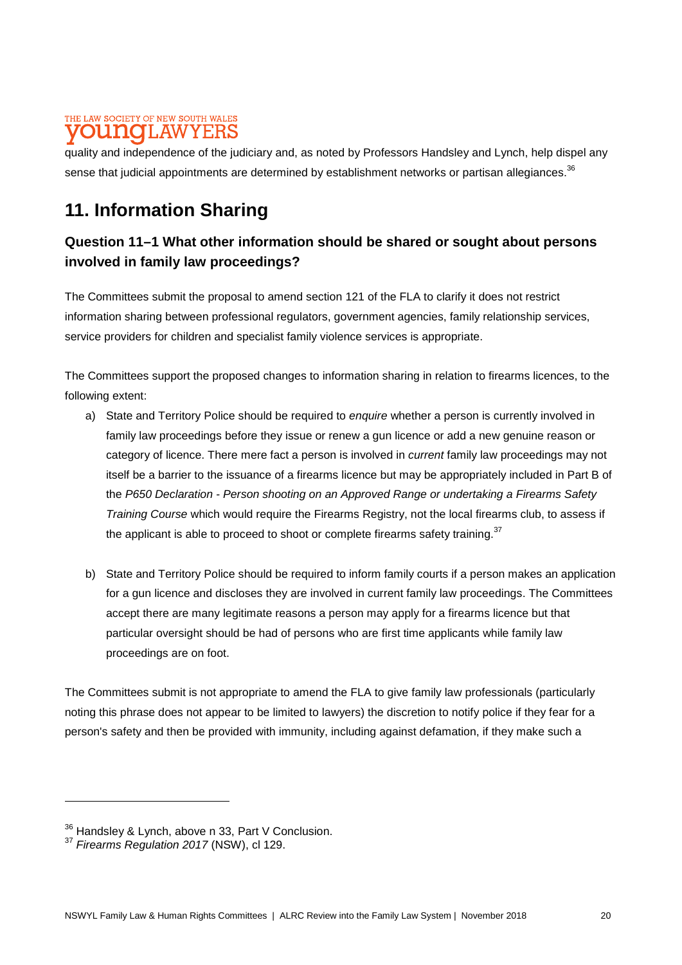### THE LAW SOCIETY OF NEW SOUTH WALES 'I.AW

quality and independence of the judiciary and, as noted by Professors Handsley and Lynch, help dispel any sense that judicial appointments are determined by establishment networks or partisan allegiances.<sup>36</sup>

# **11. Information Sharing**

# **Question 11–1 What other information should be shared or sought about persons involved in family law proceedings?**

The Committees submit the proposal to amend section 121 of the FLA to clarify it does not restrict information sharing between professional regulators, government agencies, family relationship services, service providers for children and specialist family violence services is appropriate.

The Committees support the proposed changes to information sharing in relation to firearms licences, to the following extent:

- a) State and Territory Police should be required to *enquire* whether a person is currently involved in family law proceedings before they issue or renew a gun licence or add a new genuine reason or category of licence. There mere fact a person is involved in *current* family law proceedings may not itself be a barrier to the issuance of a firearms licence but may be appropriately included in Part B of the *P650 Declaration - Person shooting on an Approved Range or undertaking a Firearms Safety Training Course* which would require the Firearms Registry, not the local firearms club, to assess if the applicant is able to proceed to shoot or complete firearms safety training.<sup>37</sup>
- b) State and Territory Police should be required to inform family courts if a person makes an application for a gun licence and discloses they are involved in current family law proceedings. The Committees accept there are many legitimate reasons a person may apply for a firearms licence but that particular oversight should be had of persons who are first time applicants while family law proceedings are on foot.

The Committees submit is not appropriate to amend the FLA to give family law professionals (particularly noting this phrase does not appear to be limited to lawyers) the discretion to notify police if they fear for a person's safety and then be provided with immunity, including against defamation, if they make such a

<sup>&</sup>lt;sup>36</sup> Handsley & Lynch, above n 33, Part V Conclusion.

<sup>37</sup> *Firearms Regulation 2017* (NSW), cl 129.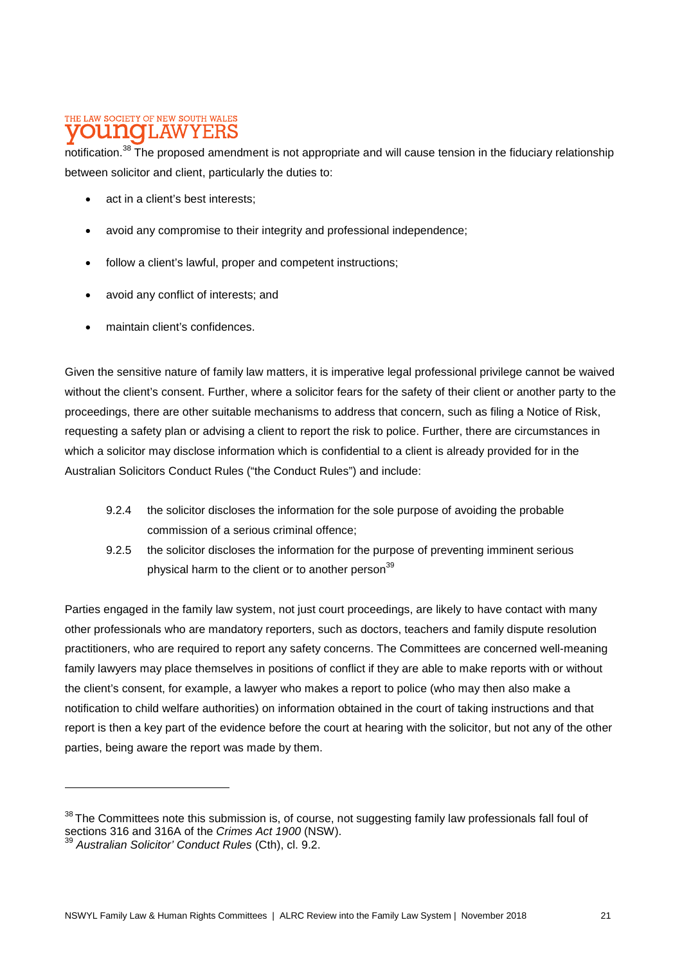#### THE LAW SOCIETY OF NEW SOUTH WALES **UNOI AW** Y E:F

notification.<sup>38</sup> The proposed amendment is not appropriate and will cause tension in the fiduciary relationship between solicitor and client, particularly the duties to:

- act in a client's best interests;
- avoid any compromise to their integrity and professional independence;
- follow a client's lawful, proper and competent instructions;
- avoid any conflict of interests; and
- maintain client's confidences.

Given the sensitive nature of family law matters, it is imperative legal professional privilege cannot be waived without the client's consent. Further, where a solicitor fears for the safety of their client or another party to the proceedings, there are other suitable mechanisms to address that concern, such as filing a Notice of Risk, requesting a safety plan or advising a client to report the risk to police. Further, there are circumstances in which a solicitor may disclose information which is confidential to a client is already provided for in the Australian Solicitors Conduct Rules ("the Conduct Rules") and include:

- 9.2.4 the solicitor discloses the information for the sole purpose of avoiding the probable commission of a serious criminal offence;
- 9.2.5 the solicitor discloses the information for the purpose of preventing imminent serious physical harm to the client or to another person $39$

Parties engaged in the family law system, not just court proceedings, are likely to have contact with many other professionals who are mandatory reporters, such as doctors, teachers and family dispute resolution practitioners, who are required to report any safety concerns. The Committees are concerned well-meaning family lawyers may place themselves in positions of conflict if they are able to make reports with or without the client's consent, for example, a lawyer who makes a report to police (who may then also make a notification to child welfare authorities) on information obtained in the court of taking instructions and that report is then a key part of the evidence before the court at hearing with the solicitor, but not any of the other parties, being aware the report was made by them.

<sup>&</sup>lt;sup>38</sup> The Committees note this submission is, of course, not suggesting family law professionals fall foul of sections 316 and 316A of the *Crimes Act 1900* (NSW).

<sup>39</sup> *Australian Solicitor' Conduct Rules* (Cth), cl. 9.2.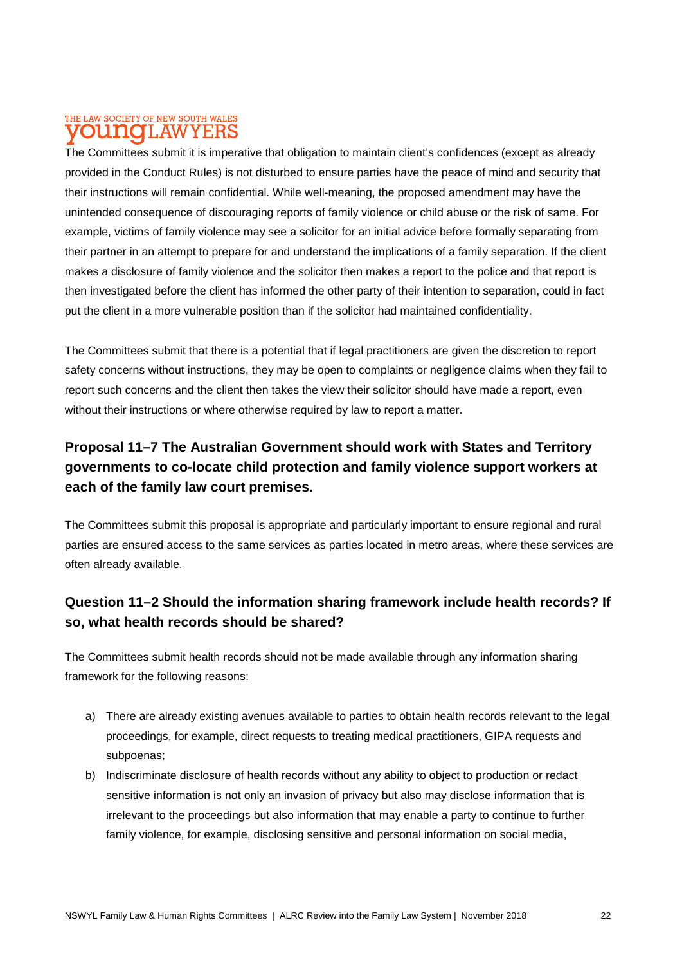#### THE LAW SOCIETY OF NEW SOUTH WALES T.AW olino Y E:F

The Committees submit it is imperative that obligation to maintain client's confidences (except as already provided in the Conduct Rules) is not disturbed to ensure parties have the peace of mind and security that their instructions will remain confidential. While well-meaning, the proposed amendment may have the unintended consequence of discouraging reports of family violence or child abuse or the risk of same. For example, victims of family violence may see a solicitor for an initial advice before formally separating from their partner in an attempt to prepare for and understand the implications of a family separation. If the client makes a disclosure of family violence and the solicitor then makes a report to the police and that report is then investigated before the client has informed the other party of their intention to separation, could in fact put the client in a more vulnerable position than if the solicitor had maintained confidentiality.

The Committees submit that there is a potential that if legal practitioners are given the discretion to report safety concerns without instructions, they may be open to complaints or negligence claims when they fail to report such concerns and the client then takes the view their solicitor should have made a report, even without their instructions or where otherwise required by law to report a matter.

# **Proposal 11–7 The Australian Government should work with States and Territory governments to co-locate child protection and family violence support workers at each of the family law court premises.**

The Committees submit this proposal is appropriate and particularly important to ensure regional and rural parties are ensured access to the same services as parties located in metro areas, where these services are often already available.

# **Question 11–2 Should the information sharing framework include health records? If so, what health records should be shared?**

The Committees submit health records should not be made available through any information sharing framework for the following reasons:

- a) There are already existing avenues available to parties to obtain health records relevant to the legal proceedings, for example, direct requests to treating medical practitioners, GIPA requests and subpoenas;
- b) Indiscriminate disclosure of health records without any ability to object to production or redact sensitive information is not only an invasion of privacy but also may disclose information that is irrelevant to the proceedings but also information that may enable a party to continue to further family violence, for example, disclosing sensitive and personal information on social media,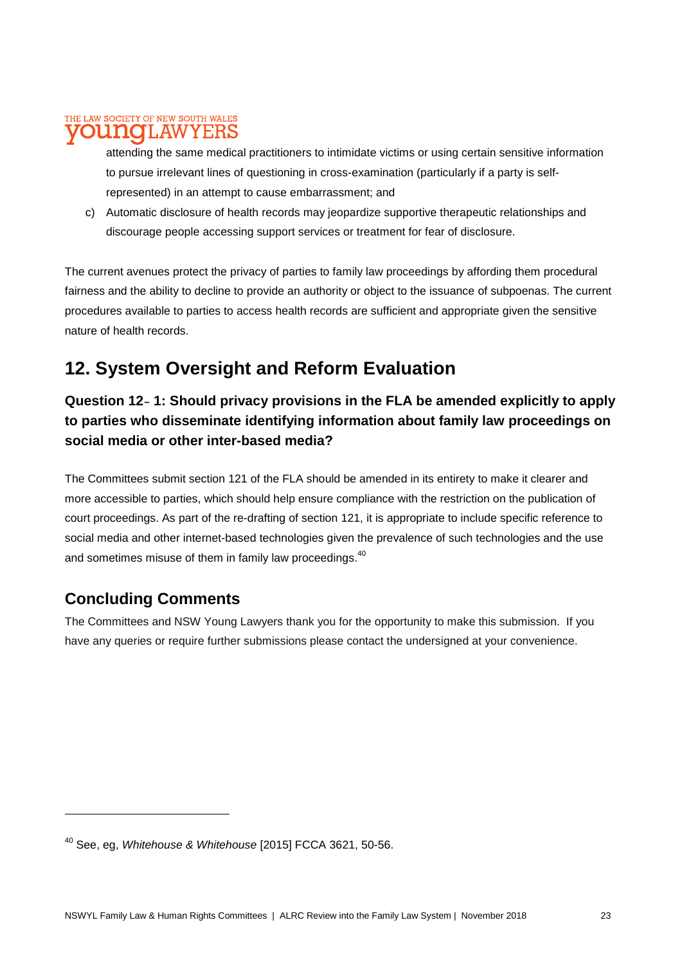#### THE LAW SOCIETY OF NEW SOUTH WALES T.AW Y E:F

attending the same medical practitioners to intimidate victims or using certain sensitive information to pursue irrelevant lines of questioning in cross-examination (particularly if a party is selfrepresented) in an attempt to cause embarrassment; and

c) Automatic disclosure of health records may jeopardize supportive therapeutic relationships and discourage people accessing support services or treatment for fear of disclosure.

The current avenues protect the privacy of parties to family law proceedings by affording them procedural fairness and the ability to decline to provide an authority or object to the issuance of subpoenas. The current procedures available to parties to access health records are sufficient and appropriate given the sensitive nature of health records.

# **12. System Oversight and Reform Evaluation**

# **Question 12**– **1: Should privacy provisions in the FLA be amended explicitly to apply to parties who disseminate identifying information about family law proceedings on social media or other inter-based media?**

The Committees submit section 121 of the FLA should be amended in its entirety to make it clearer and more accessible to parties, which should help ensure compliance with the restriction on the publication of court proceedings. As part of the re-drafting of section 121, it is appropriate to include specific reference to social media and other internet-based technologies given the prevalence of such technologies and the use and sometimes misuse of them in family law proceedings.<sup>40</sup>

# **Concluding Comments**

The Committees and NSW Young Lawyers thank you for the opportunity to make this submission. If you have any queries or require further submissions please contact the undersigned at your convenience.

<sup>40</sup> See, eg, *Whitehouse & Whitehouse* [2015] FCCA 3621, 50-56.